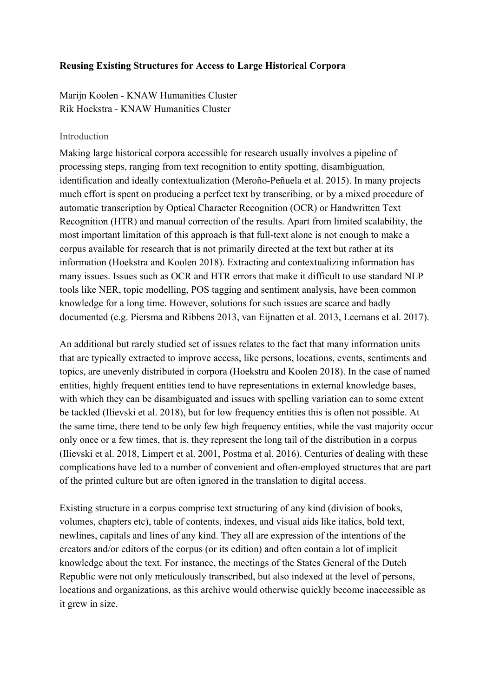## **Reusing Existing Structures for Access to Large Historical Corpora**

Marijn Koolen - KNAW Humanities Cluster Rik Hoekstra - KNAW Humanities Cluster

### Introduction

Making large historical corpora accessible for research usually involves a pipeline of processing steps, ranging from text recognition to entity spotting, disambiguation, identification and ideally contextualization (Meroño-Peñuela et al. 2015). In many projects much effort is spent on producing a perfect text by transcribing, or by a mixed procedure of automatic transcription by Optical Character Recognition (OCR) or Handwritten Text Recognition (HTR) and manual correction of the results. Apart from limited scalability, the most important limitation of this approach is that full-text alone is not enough to make a corpus available for research that is not primarily directed at the text but rather at its information (Hoekstra and Koolen 2018). Extracting and contextualizing information has many issues. Issues such as OCR and HTR errors that make it difficult to use standard NLP tools like NER, topic modelling, POS tagging and sentiment analysis, have been common knowledge for a long time. However, solutions for such issues are scarce and badly documented (e.g. Piersma and Ribbens 2013, van Eijnatten et al. 2013, Leemans et al. 2017).

An additional but rarely studied set of issues relates to the fact that many information units that are typically extracted to improve access, like persons, locations, events, sentiments and topics, are unevenly distributed in corpora (Hoekstra and Koolen 2018). In the case of named entities, highly frequent entities tend to have representations in external knowledge bases, with which they can be disambiguated and issues with spelling variation can to some extent be tackled (Ilievski et al. 2018), but for low frequency entities this is often not possible. At the same time, there tend to be only few high frequency entities, while the vast majority occur only once or a few times, that is, they represent the long tail of the distribution in a corpus (Ilievski et al. 2018, Limpert et al. 2001, Postma et al. 2016). Centuries of dealing with these complications have led to a number of convenient and often-employed structures that are part of the printed culture but are often ignored in the translation to digital access.

Existing structure in a corpus comprise text structuring of any kind (division of books, volumes, chapters etc), table of contents, indexes, and visual aids like italics, bold text, newlines, capitals and lines of any kind. They all are expression of the intentions of the creators and/or editors of the corpus (or its edition) and often contain a lot of implicit knowledge about the text. For instance, the meetings of the States General of the Dutch Republic were not only meticulously transcribed, but also indexed at the level of persons, locations and organizations, as this archive would otherwise quickly become inaccessible as it grew in size.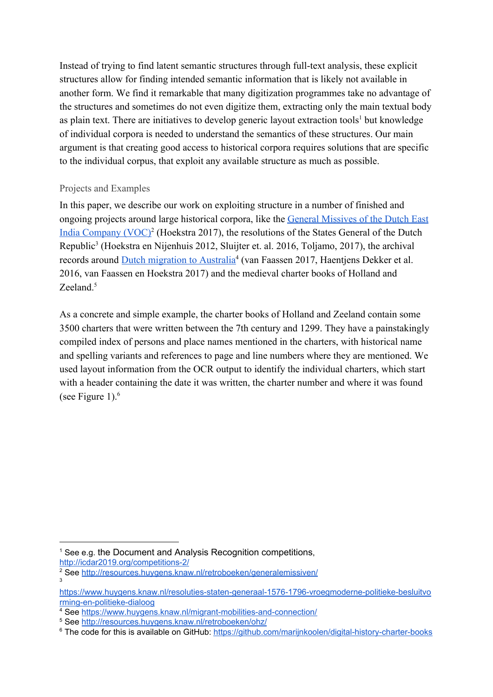Instead of trying to find latent semantic structures through full-text analysis, these explicit structures allow for finding intended semantic information that is likely not available in another form. We find it remarkable that many digitization programmes take no advantage of the structures and sometimes do not even digitize them, extracting only the main textual body as plain text. There are initiatives to develop generic layout extraction tools<sup>1</sup> but knowledge of individual corpora is needed to understand the semantics of these structures. Our main argument is that creating good access to historical corpora requires solutions that are specific to the individual corpus, that exploit any available structure as much as possible.

## Projects and Examples

In this paper, we describe our work on exploiting structure in a number of finished and ongoing projects around large historical corpora, like the [General Missives of the Dutch East](http://resources.huygens.knaw.nl/retroboeken/generalemissiven/) India Company  $(VOC)^2$  (Hoekstra 2017), the resolutions of the States General of the Dutch Republic<sup>3</sup> (Hoekstra en Nijenhuis 2012, Sluijter et. al. 2016, Toljamo, 2017), the archival records around [Dutch migration to Australia](https://www.huygens.knaw.nl/migrant-mobilities-and-connection/)<sup>4</sup> (van Faassen 2017, Haentjens Dekker et al. 2016, van Faassen en Hoekstra 2017) and the medieval charter books of Holland and Zeeland $5$ 

As a concrete and simple example, the charter books of Holland and Zeeland contain some 3500 charters that were written between the 7th century and 1299. They have a painstakingly compiled index of persons and place names mentioned in the charters, with historical name and spelling variants and references to page and line numbers where they are mentioned. We used layout information from the OCR output to identify the individual charters, which start with a header containing the date it was written, the charter number and where it was found (see Figure 1). $<sup>6</sup>$ </sup>

<http://icdar2019.org/competitions-2/>

<sup>&</sup>lt;sup>1</sup> See e.g. the Document and Analysis Recognition competitions,

<sup>2</sup> See <http://resources.huygens.knaw.nl/retroboeken/generalemissiven/> 3

[https://www.huygens.knaw.nl/resoluties-staten-generaal-1576-1796-vroegmoderne-politieke-besluitvo](https://www.huygens.knaw.nl/resoluties-staten-generaal-1576-1796-vroegmoderne-politieke-besluitvorming-en-politieke-dialoog/?lang=en) [rming-en-politieke-dialoog](https://www.huygens.knaw.nl/resoluties-staten-generaal-1576-1796-vroegmoderne-politieke-besluitvorming-en-politieke-dialoog/?lang=en)

<sup>4</sup> See <https://www.huygens.knaw.nl/migrant-mobilities-and-connection/>

<sup>5</sup> See <http://resources.huygens.knaw.nl/retroboeken/ohz/>

<sup>&</sup>lt;sup>6</sup> The code for this is available on GitHub: <https://github.com/marijnkoolen/digital-history-charter-books>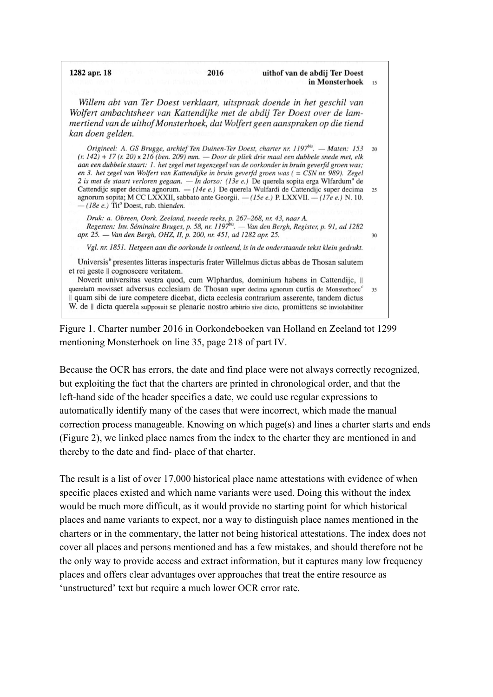in Monsterhoek  $15$ Willem abt van Ter Doest verklaart, uitspraak doende in het geschil van Wolfert ambachtsheer van Kattendijke met de abdij Ter Doest over de lammertiend van de uithof Monsterhoek, dat Wolfert geen aanspraken op die tiend kan doen gelden.

2016

uithof van de abdij Ter Doest

30

1282 apr. 18

Origineel: A. GS Brugge, archief Ten Duinen-Ter Doest, charter nr. 1197<sup>bis</sup>. — Maten: 153 20  $(r. 142) + 17(r. 20) \times 216$  (ben. 209) mm. - Door de pliek drie maal een dubbele snede met, elk aan een dubbele staart: 1. het zegel met tegenzegel van de oorkonder in bruin geverfd groen was; en 3. het zegel van Wolfert van Kattendijke in bruin geverfd groen was ( = CSN nr. 989). Zegel 2 is met de staart verloren gegaan. — In dorso: (13e e.) De querela sopita erga Wlfardum<sup>a</sup> de Cattendijc super decima agnorum. — (14e e.) De querela Wulfardi de Cattendijc super decima 25 agnorum sopita; M CC LXXXII, sabbato ante Georgii. - (15e e.) P. LXXVII. - (17e e.) N. 10.  $-$  (18e e.) Tit<sup>o</sup> Doest, rub. thienden.

Druk: a. Obreen, Oork. Zeeland, tweede reeks, p. 267–268, nr. 43, naar A.<br>Regesten: Inv. Séminaire Bruges, p. 58, nr. 1197<sup>bis</sup>. — Van den Bergh, Register, p. 91, ad 1282 apr. 25. - Van den Bergh, OHZ, II, p. 200, nr. 451, ad 1282 apr. 25.

Vgl. nr. 1851. Hetgeen aan die oorkonde is ontleend, is in de onderstaande tekst klein gedrukt.

Universis<sup>*'*</sup> presentes litteras inspecturis frater Willelmus dictus abbas de Thosan salutem et rei geste || cognoscere veritatem.

Noverit universitas vestra quod, cum Wlphardus, dominium habens in Cattendijc, II querelam movisset adversus ecclesiam de Thosan super decima agnorum curtis de Monsterhoec<sup>e</sup> 35 Il quam sibi de iure competere dicebat, dicta ecclesia contrarium asserente, tandem dictus W. de || dicta querela supposuit se plenarie nostro arbitrio sive dicto, promittens se inviolabiliter

Figure 1. Charter number 2016 in Oorkondeboeken van Holland en Zeeland tot 1299 mentioning Monsterhoek on line 35, page 218 of part IV.

Because the OCR has errors, the date and find place were not always correctly recognized, but exploiting the fact that the charters are printed in chronological order, and that the left-hand side of the header specifies a date, we could use regular expressions to automatically identify many of the cases that were incorrect, which made the manual correction process manageable. Knowing on which page(s) and lines a charter starts and ends (Figure 2), we linked place names from the index to the charter they are mentioned in and thereby to the date and find- place of that charter.

The result is a list of over 17,000 historical place name attestations with evidence of when specific places existed and which name variants were used. Doing this without the index would be much more difficult, as it would provide no starting point for which historical places and name variants to expect, nor a way to distinguish place names mentioned in the charters or in the commentary, the latter not being historical attestations. The index does not cover all places and persons mentioned and has a few mistakes, and should therefore not be the only way to provide access and extract information, but it captures many low frequency places and offers clear advantages over approaches that treat the entire resource as 'unstructured' text but require a much lower OCR error rate.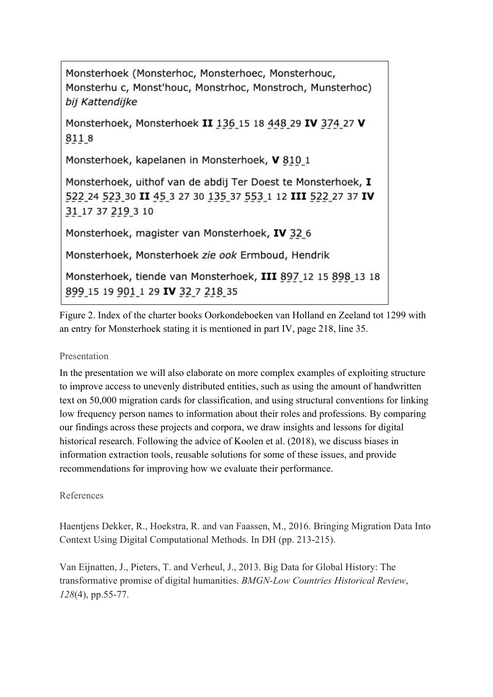Monsterhoek (Monsterhoc, Monsterhoec, Monsterhouc, Monsterhu c, Monst'houc, Monstrhoc, Monstroch, Munsterhoc) bij Kattendijke

Monsterhoek, Monsterhoek II 136 15 18 448 29 IV 374 27 V 8118

Monsterhoek, kapelanen in Monsterhoek, V 810 1

Monsterhoek, uithof van de abdij Ter Doest te Monsterhoek, I 522 24 523 30 II 45 3 27 30 135 37 553 1 12 III 522 27 37 IV 31 17 37 219 3 10

Monsterhoek, magister van Monsterhoek, IV 32\_6

Monsterhoek, Monsterhoek zie ook Ermboud, Hendrik

Monsterhoek, tiende van Monsterhoek, III 897 12 15 898 13 18 899 15 19 901 1 29 IV 32 7 218 35

Figure 2. Index of the charter books Oorkondeboeken van Holland en Zeeland tot 1299 with an entry for Monsterhoek stating it is mentioned in part IV, page 218, line 35.

# Presentation

In the presentation we will also elaborate on more complex examples of exploiting structure to improve access to unevenly distributed entities, such as using the amount of handwritten text on 50,000 migration cards for classification, and using structural conventions for linking low frequency person names to information about their roles and professions. By comparing our findings across these projects and corpora, we draw insights and lessons for digital historical research. Following the advice of Koolen et al. (2018), we discuss biases in information extraction tools, reusable solutions for some of these issues, and provide recommendations for improving how we evaluate their performance.

## References

Haentjens Dekker, R., Hoekstra, R. and van Faassen, M., 2016. Bringing Migration Data Into Context Using Digital Computational Methods. In DH (pp. 213-215).

Van Eijnatten, J., Pieters, T. and Verheul, J., 2013. Big Data for Global History: The transformative promise of digital humanities. *BMGN-Low Countries Historical Review*, *128*(4), pp.55-77.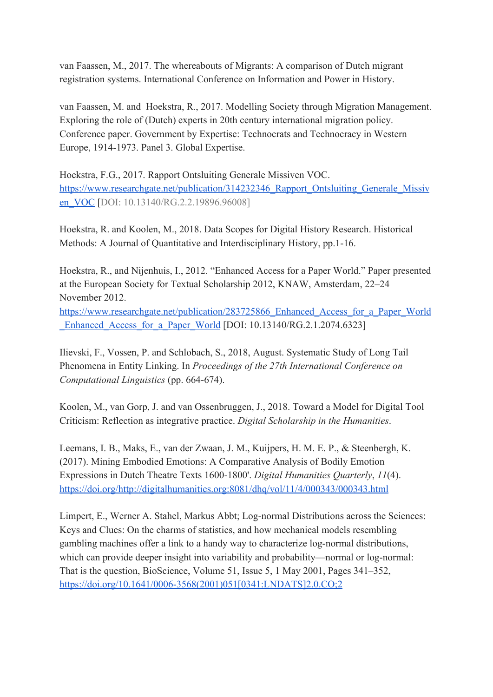van Faassen, M., 2017. The whereabouts of Migrants: A comparison of Dutch migrant registration systems. International Conference on Information and Power in History.

van Faassen, M. and Hoekstra, R., 2017. Modelling Society through Migration Management. Exploring the role of (Dutch) experts in 20th century international migration policy. Conference paper. Government by Expertise: Technocrats and Technocracy in Western Europe, 1914-1973. Panel 3. Global Expertise.

Hoekstra, F.G., 2017. Rapport Ontsluiting Generale Missiven VOC. [https://www.researchgate.net/publication/314232346\\_Rapport\\_Ontsluiting\\_Generale\\_Missiv](https://www.researchgate.net/publication/314232346_Rapport_Ontsluiting_Generale_Missiven_VOC) [en\\_VOC](https://www.researchgate.net/publication/314232346_Rapport_Ontsluiting_Generale_Missiven_VOC) [DOI: 10.13140/RG.2.2.19896.96008]

Hoekstra, R. and Koolen, M., 2018. Data Scopes for Digital History Research. Historical Methods: A Journal of Quantitative and Interdisciplinary History, pp.1-16.

Hoekstra, R., and Nijenhuis, I., 2012. "Enhanced Access for a Paper World." Paper presented at the European Society for Textual Scholarship 2012, KNAW, Amsterdam, 22–24 November 2012.

[https://www.researchgate.net/publication/283725866\\_Enhanced\\_Access\\_for\\_a\\_Paper\\_World](https://www.researchgate.net/publication/283725866_Enhanced_Access_for_a_Paper_World_Enhanced_Access_for_a_Paper_World) Enhanced Access for a Paper World [DOI: 10.13140/RG.2.1.2074.6323]

Ilievski, F., Vossen, P. and Schlobach, S., 2018, August. Systematic Study of Long Tail Phenomena in Entity Linking. In *Proceedings of the 27th International Conference on Computational Linguistics* (pp. 664-674).

Koolen, M., van Gorp, J. and van Ossenbruggen, J., 2018. Toward a Model for Digital Tool Criticism: Reflection as integrative practice. *Digital Scholarship in the Humanities*.

Leemans, I. B., Maks, E., van der Zwaan, J. M., Kuijpers, H. M. E. P., & Steenbergh, K. (2017). Mining Embodied Emotions: A Comparative Analysis of Bodily Emotion Expressions in Dutch Theatre Texts 1600-1800'. *Digital Humanities Quarterly*, *11*(4). <https://doi.org/http://digitalhumanities.org:8081/dhq/vol/11/4/000343/000343.html>

Limpert, E., Werner A. Stahel, Markus Abbt; Log-normal Distributions across the Sciences: Keys and Clues: On the charms of statistics, and how mechanical models resembling gambling machines offer a link to a handy way to characterize log-normal distributions, which can provide deeper insight into variability and probability—normal or log-normal: That is the question, BioScience, Volume 51, Issue 5, 1 May 2001, Pages 341–352, [https://doi.org/10.1641/0006-3568\(2001\)051\[0341:LNDATS\]2.0.CO;2](https://doi.org/10.1641/0006-3568(2001)051[0341:LNDATS]2.0.CO;2)